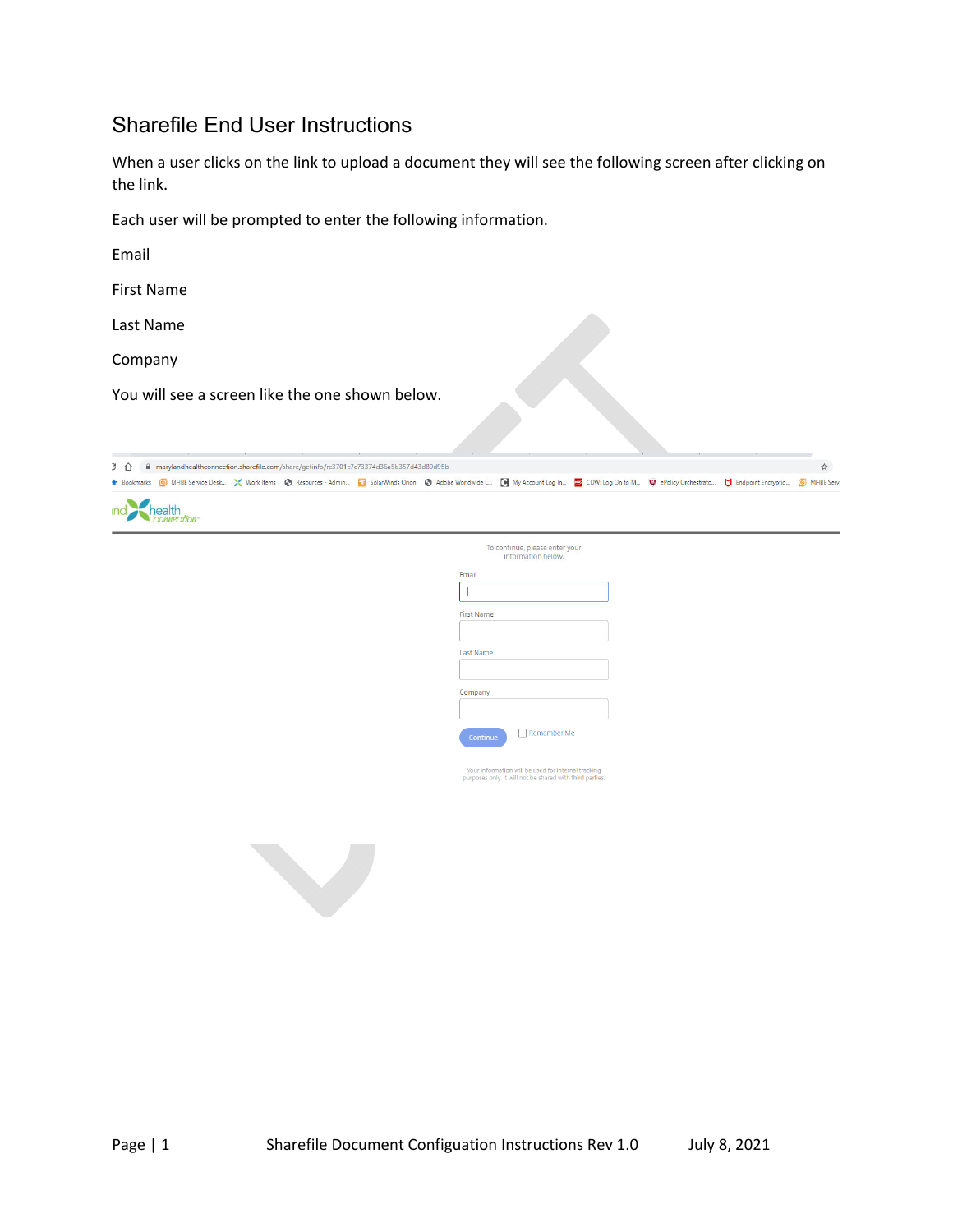## Sharefile End User Instructions

When a user clicks on the link to upload a document they will see the following screen after clicking on the link.

Each user will be prompted to enter the following information.

Email

First Name

Last Name

Company

You will see a screen like the one shown below.



| To continue, please enter your<br>information below. |  |  |
|------------------------------------------------------|--|--|
| Email                                                |  |  |
|                                                      |  |  |
| <b>First Name</b>                                    |  |  |
| <b>Last Name</b>                                     |  |  |
| Company                                              |  |  |
| Remember Me<br>Continue                              |  |  |

Your information will be used for internal tracking<br>purposes only. It will not be shared with third parties

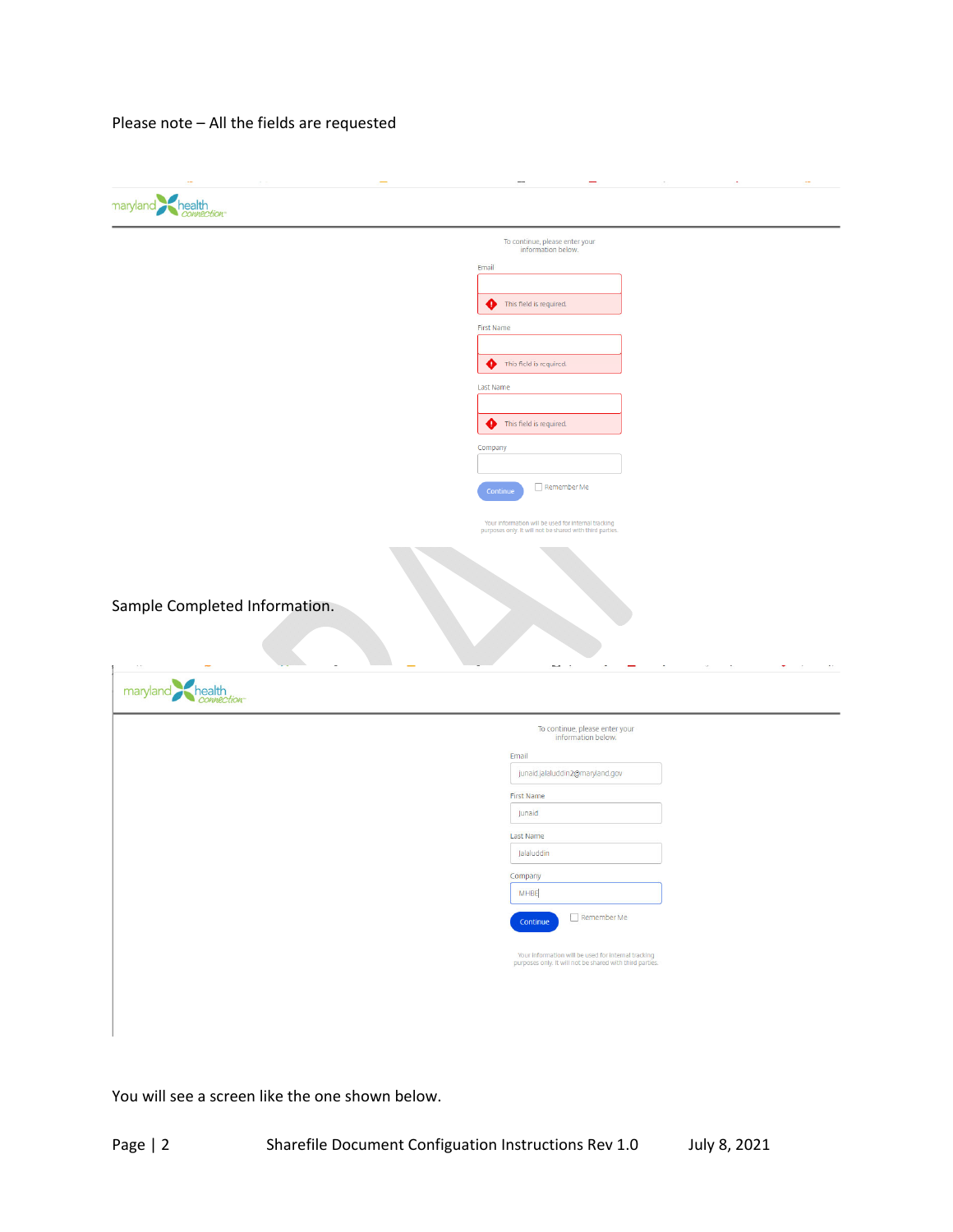Please note – All the fields are requested

| maryland health                                          |                                                                                                                 |  |
|----------------------------------------------------------|-----------------------------------------------------------------------------------------------------------------|--|
|                                                          | To continue, please enter your<br>information below.                                                            |  |
|                                                          | Email                                                                                                           |  |
|                                                          |                                                                                                                 |  |
|                                                          | This field is required.<br>◕                                                                                    |  |
|                                                          | <b>First Name</b>                                                                                               |  |
|                                                          | This field is required.<br>◕                                                                                    |  |
|                                                          | Last Name                                                                                                       |  |
|                                                          |                                                                                                                 |  |
|                                                          | This field is required.<br>➊                                                                                    |  |
|                                                          | Company                                                                                                         |  |
|                                                          |                                                                                                                 |  |
| Remember Me<br>Continue                                  |                                                                                                                 |  |
|                                                          | Your information will be used for internal tracking<br>purposes only. It will not be shared with third parties. |  |
|                                                          |                                                                                                                 |  |
|                                                          |                                                                                                                 |  |
|                                                          |                                                                                                                 |  |
| Sample Completed Information.                            |                                                                                                                 |  |
|                                                          |                                                                                                                 |  |
|                                                          |                                                                                                                 |  |
| $\sim$ $\sim$<br>maryland<br>health<br><i>connection</i> | ω,<br>$\sim$<br>$\sim$                                                                                          |  |
|                                                          |                                                                                                                 |  |
|                                                          | To continue, please enter your<br>information below.                                                            |  |
|                                                          | Email                                                                                                           |  |
|                                                          | junaid.jalaluddin2@maryland.gov                                                                                 |  |
|                                                          | <b>First Name</b>                                                                                               |  |
|                                                          | Junaid                                                                                                          |  |
|                                                          | Last Name<br>Jalaluddin                                                                                         |  |
|                                                          | Company                                                                                                         |  |
|                                                          | MHBE                                                                                                            |  |
|                                                          | $\Box$ Remember Me                                                                                              |  |
|                                                          | Continue                                                                                                        |  |
|                                                          | Your information will be used for internal tracking<br>purposes only. It will not be shared with third parties. |  |
|                                                          |                                                                                                                 |  |
|                                                          |                                                                                                                 |  |
|                                                          |                                                                                                                 |  |
|                                                          |                                                                                                                 |  |

You will see a screen like the one shown below.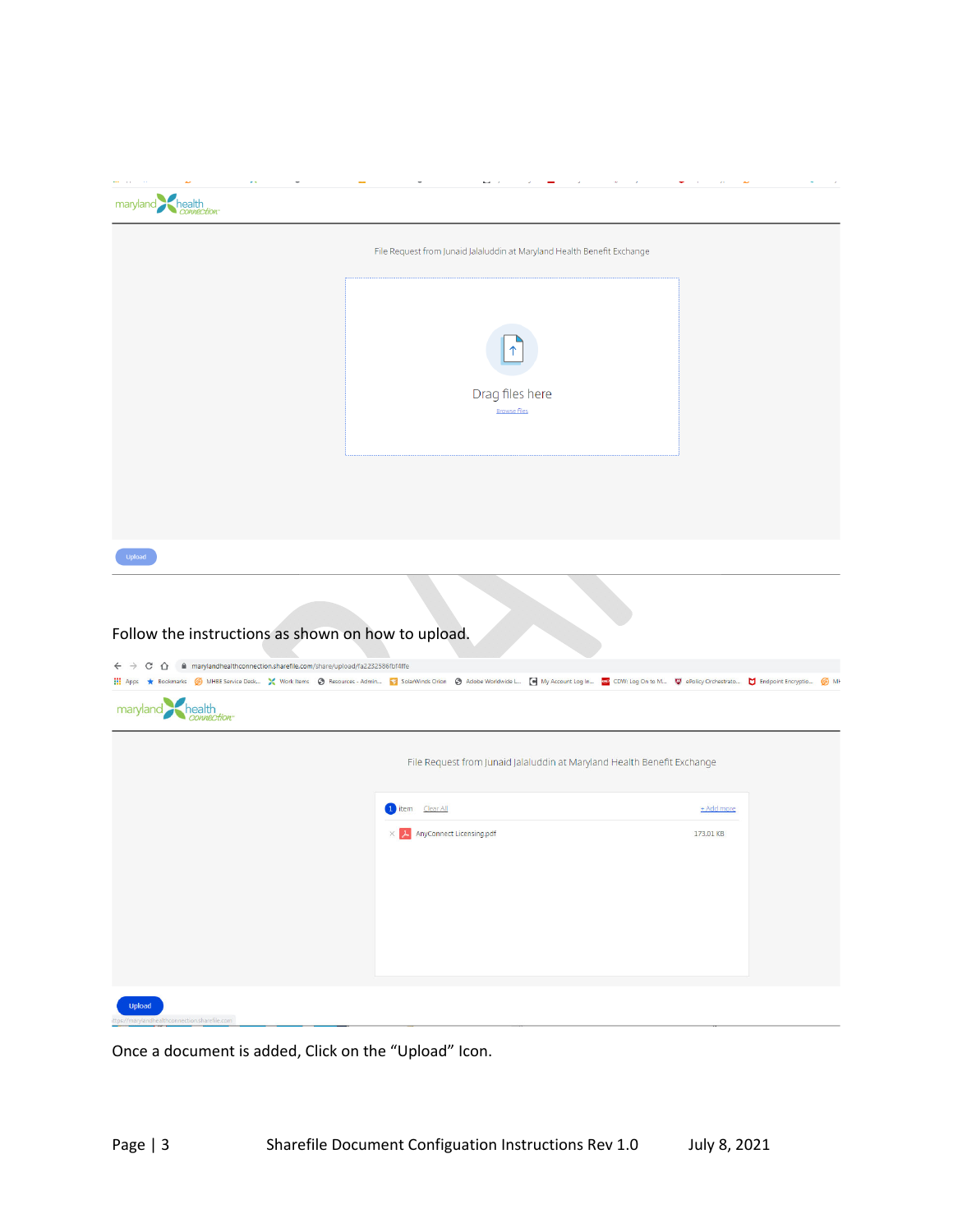| maryland health                                                                                                                                                                                                                            |                                                                         |            |  |
|--------------------------------------------------------------------------------------------------------------------------------------------------------------------------------------------------------------------------------------------|-------------------------------------------------------------------------|------------|--|
|                                                                                                                                                                                                                                            | File Request from Junaid Jalaluddin at Maryland Health Benefit Exchange |            |  |
|                                                                                                                                                                                                                                            | ↑<br>Drag files here<br><b>Browse files</b>                             |            |  |
|                                                                                                                                                                                                                                            |                                                                         |            |  |
| Upload                                                                                                                                                                                                                                     |                                                                         |            |  |
| Follow the instructions as shown on how to upload.<br>$\leftarrow$ $\rightarrow$ $\mathcal{C}$ $\hat{\Omega}$ $\hat{\mathbf{u}}$ marylandhealthconnection.sharefile.com/share/upload/fa2232586fbf4ffe<br>maryland<br>health<br>connection- |                                                                         |            |  |
|                                                                                                                                                                                                                                            | File Request from Junaid Jalaluddin at Maryland Health Benefit Exchange |            |  |
|                                                                                                                                                                                                                                            | 1 item Clear All                                                        | + Add more |  |
|                                                                                                                                                                                                                                            | $\times$   $\mu$ AnyConnect Licensing.pdf                               | 173.01 KB  |  |
| Upload<br>n sharefile i                                                                                                                                                                                                                    |                                                                         |            |  |

Once a document is added, Click on the "Upload" Icon.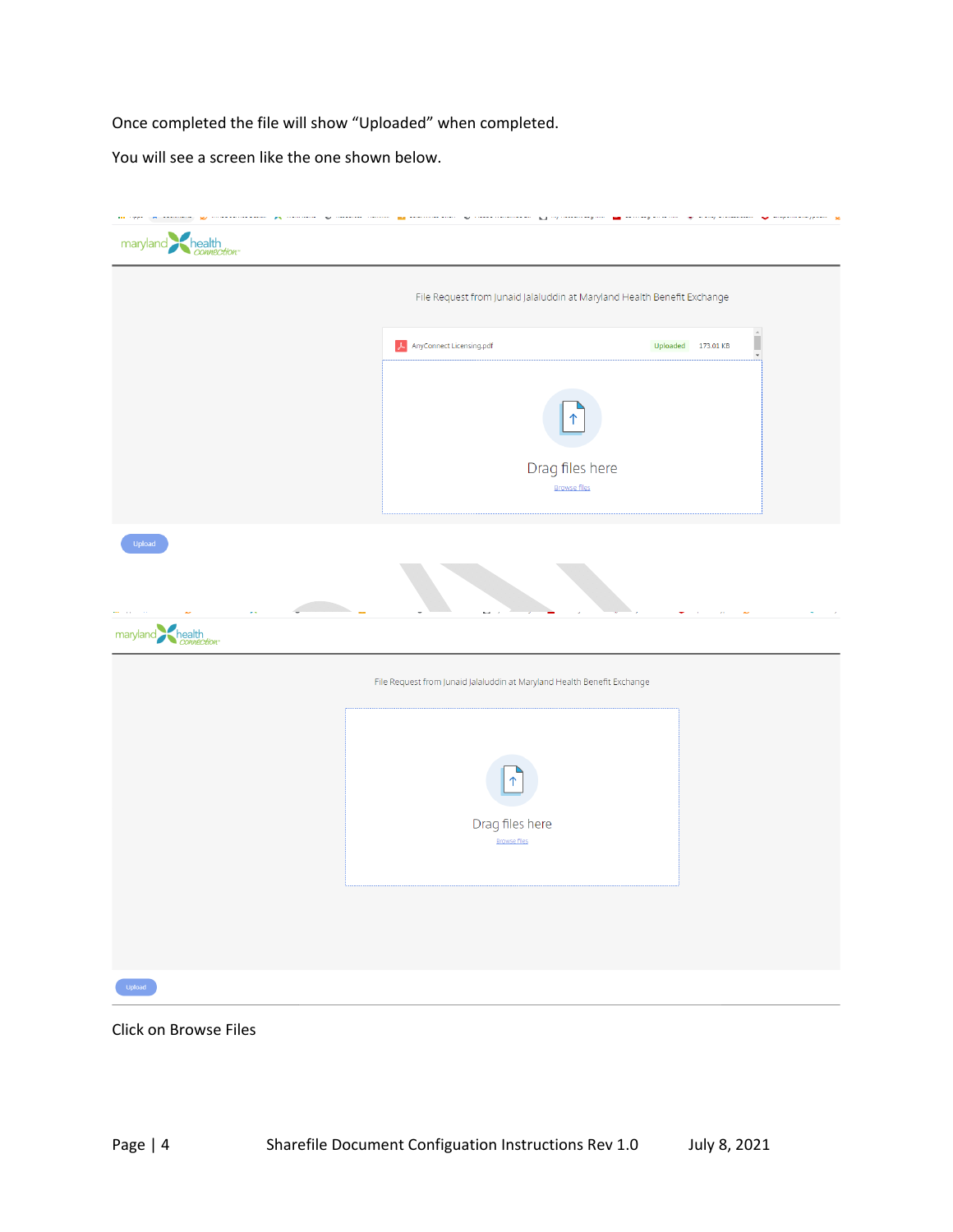Once completed the file will show "Uploaded" when completed.

You will see a screen like the one shown below.

| maryland health           |                                                                         |                                                |
|---------------------------|-------------------------------------------------------------------------|------------------------------------------------|
|                           | File Request from Junaid Jalaluddin at Maryland Health Benefit Exchange |                                                |
|                           | AnyConnect Licensing.pdf                                                | Uploaded 173.01 KB<br>$\overline{\phantom{a}}$ |
|                           | Drag files here<br><b>Browse files</b>                                  |                                                |
| Upload<br>maryland health |                                                                         |                                                |
|                           | File Request from Junaid Jalaluddin at Maryland Health Benefit Exchange |                                                |
|                           | ↑<br>Drag files here<br><b>Browse files</b>                             |                                                |
| Upload                    |                                                                         |                                                |

Click on Browse Files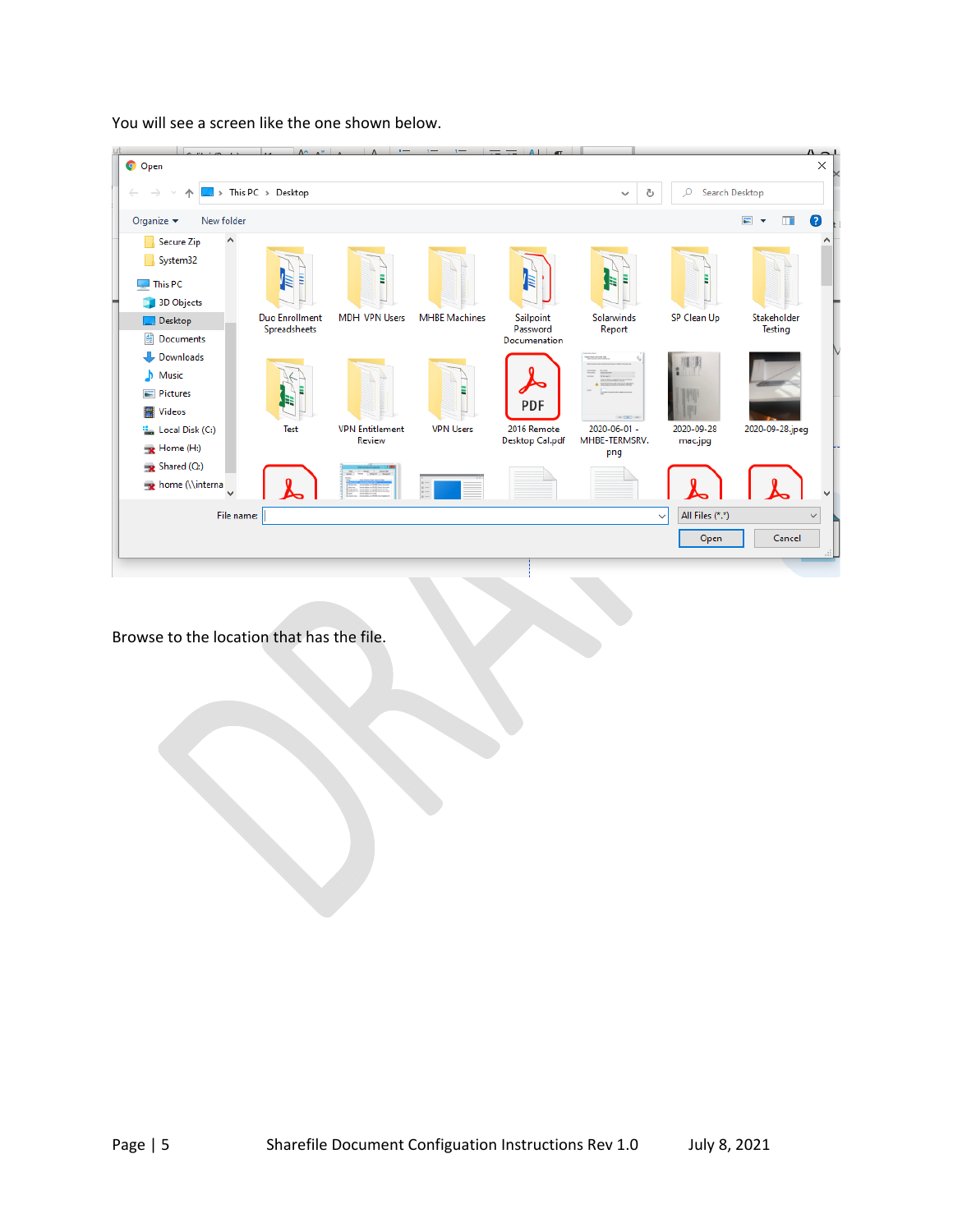



Browse to the location that has the file.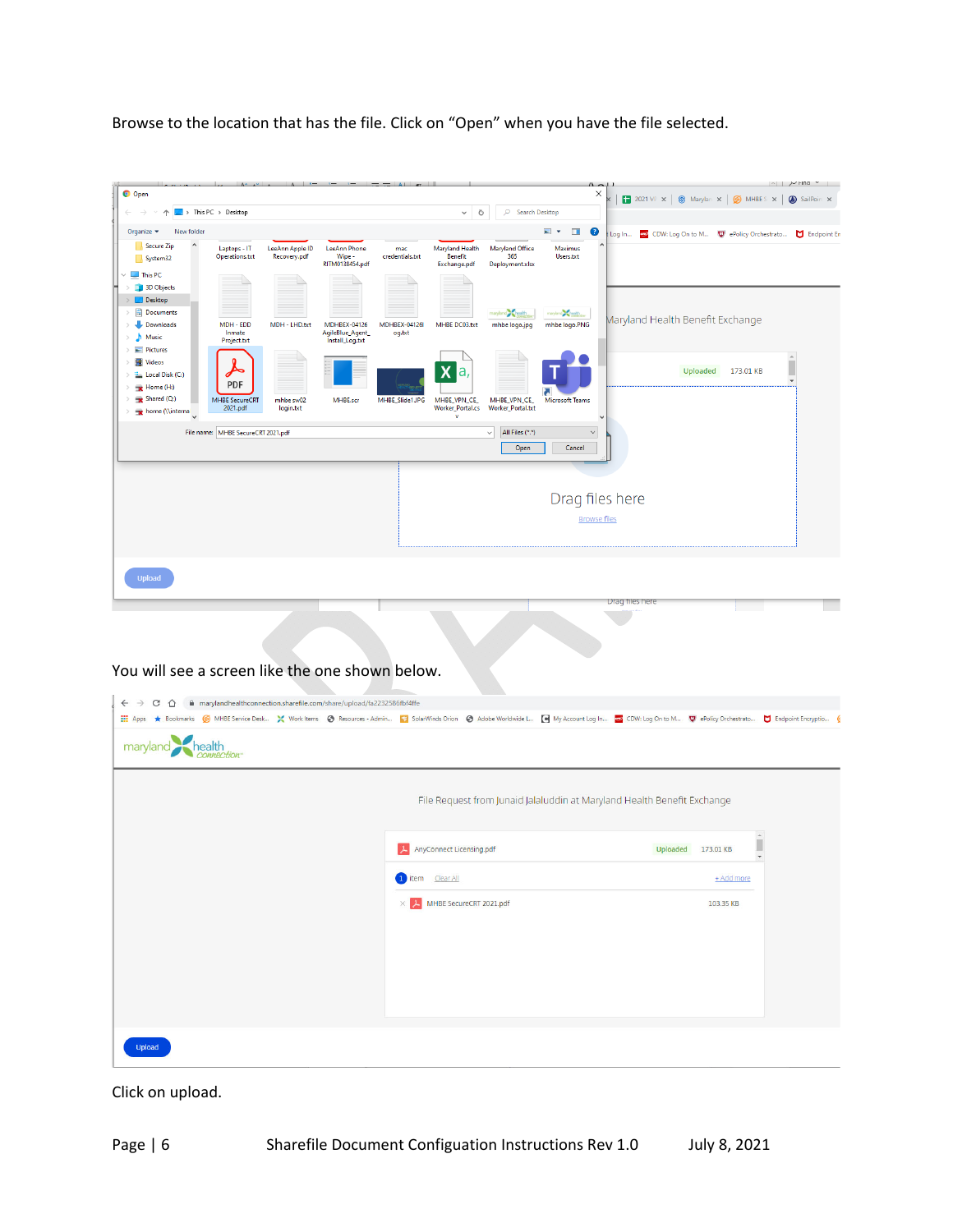Browse to the location that has the file. Click on "Open" when you have the file selected.



Click on upload.

Upload

MHBE SecureCRT 2021.pdf

103.35 KB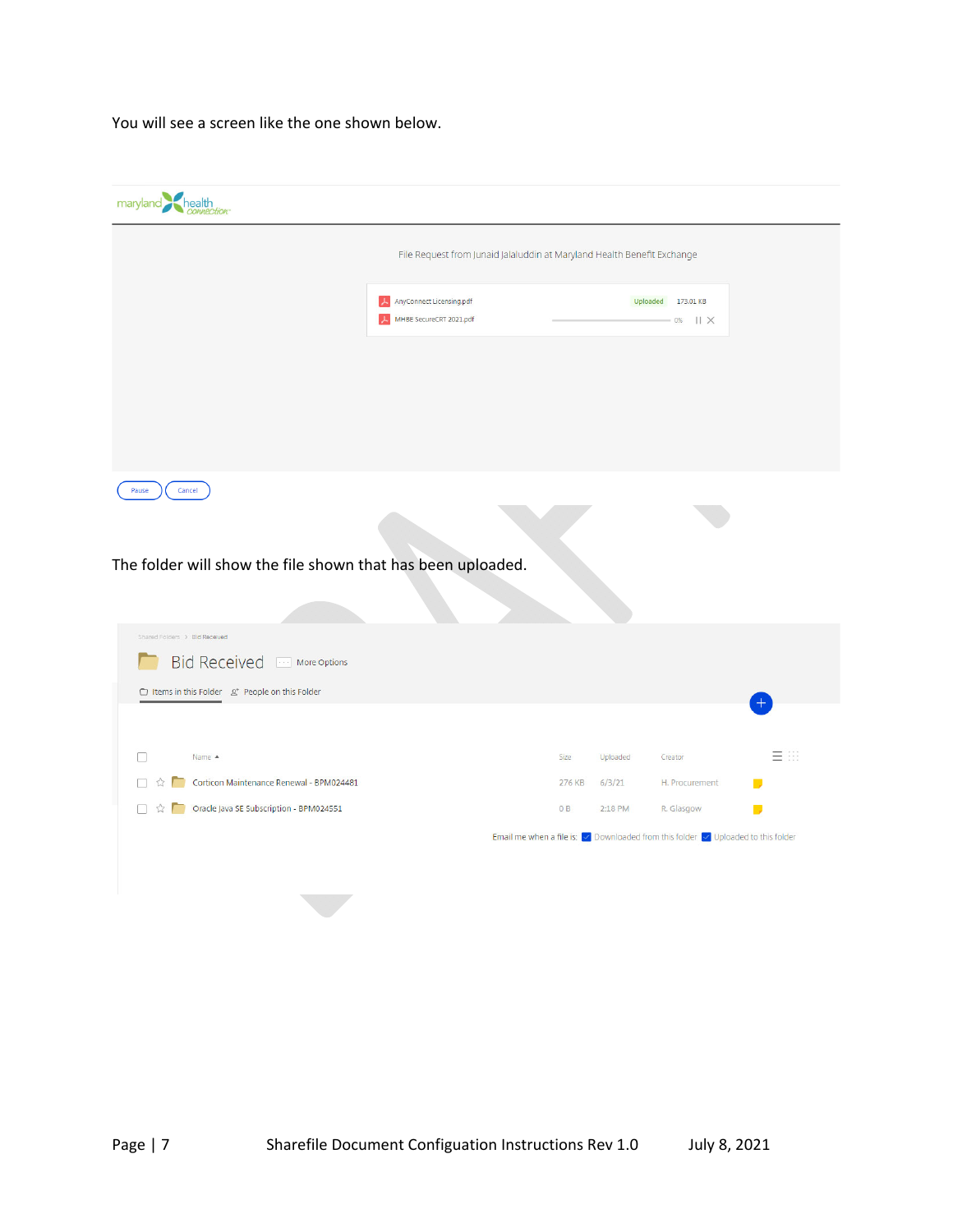You will see a screen like the one shown below.

| maryland health                                                                     |                                                                         |        |          |                                                                                                                        |           |
|-------------------------------------------------------------------------------------|-------------------------------------------------------------------------|--------|----------|------------------------------------------------------------------------------------------------------------------------|-----------|
|                                                                                     | File Request from Junaid Jalaluddin at Maryland Health Benefit Exchange |        |          |                                                                                                                        |           |
|                                                                                     | AnyConnect Licensing.pdf<br>MHBE SecureCRT 2021.pdf                     |        |          | Uploaded 173.01 KB<br>$-0$ %    $\times$                                                                               |           |
|                                                                                     |                                                                         |        |          |                                                                                                                        |           |
|                                                                                     |                                                                         |        |          |                                                                                                                        |           |
| Cancel<br>Pause                                                                     |                                                                         |        |          |                                                                                                                        |           |
|                                                                                     |                                                                         |        |          |                                                                                                                        |           |
| The folder will show the file shown that has been uploaded.                         |                                                                         |        |          |                                                                                                                        |           |
|                                                                                     |                                                                         |        |          |                                                                                                                        |           |
| Shared Folders > Bid Received                                                       |                                                                         |        |          |                                                                                                                        |           |
| <b>Bid Received</b><br>More Options                                                 |                                                                         |        |          |                                                                                                                        |           |
| □ Items in this Folder<br>2* People on this Folder                                  |                                                                         |        |          |                                                                                                                        |           |
|                                                                                     |                                                                         |        |          |                                                                                                                        |           |
| Name A<br>П                                                                         |                                                                         | Size   | Uploaded | Creator                                                                                                                | 言田        |
| Corticon Maintenance Renewal - BPM024481<br>П<br>53                                 |                                                                         | 276 KB | 6/3/21   | H. Procurement                                                                                                         |           |
| Oracle Java SE Subscription - BPM024551<br>п<br>$\vec{\mathbb{Z}}$<br><b>The Co</b> |                                                                         | 0B     | 2:18 PM  | R. Glasgow                                                                                                             | <b>In</b> |
|                                                                                     |                                                                         |        |          | Email me when a file is: $\boxed{\checkmark}$ Downloaded from this folder $\boxed{\checkmark}$ Uploaded to this folder |           |
|                                                                                     |                                                                         |        |          |                                                                                                                        |           |
|                                                                                     |                                                                         |        |          |                                                                                                                        |           |